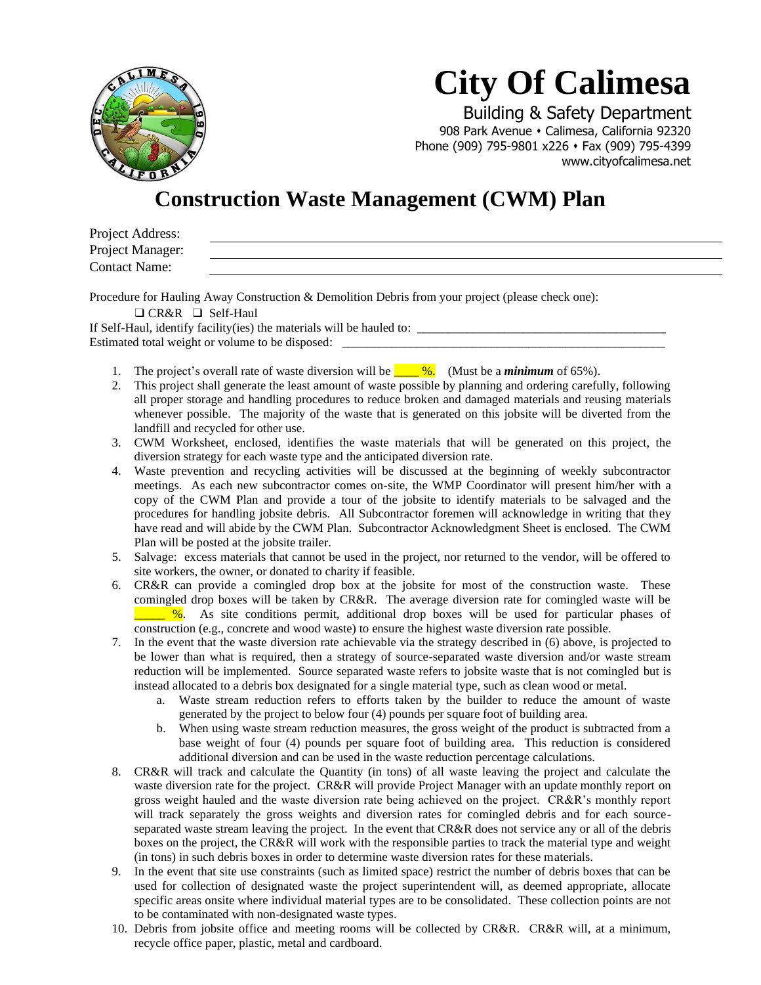

## **City Of Calimesa**

 Building & Safety Department 908 Park Avenue • Calimesa, California 92320 Phone (909) 795-9801 x226 ⬧ Fax (909) 795-4399 www.cityofcalimesa.net

### **Construction Waste Management (CWM) Plan**

| Project Address:     |  |  |  |
|----------------------|--|--|--|
| Project Manager:     |  |  |  |
| <b>Contact Name:</b> |  |  |  |
|                      |  |  |  |

Procedure for Hauling Away Construction & Demolition Debris from your project (please check one):

❑ CR&R ❑ Self-Haul

If Self-Haul, identify facility(ies) the materials will be hauled to: Estimated total weight or volume to be disposed: \_

- 1. The project's overall rate of waste diversion will be **\_\_\_\_ %.** (Must be a *minimum* of 65%).
- 2. This project shall generate the least amount of waste possible by planning and ordering carefully, following all proper storage and handling procedures to reduce broken and damaged materials and reusing materials whenever possible. The majority of the waste that is generated on this jobsite will be diverted from the landfill and recycled for other use.
- 3. CWM Worksheet, enclosed, identifies the waste materials that will be generated on this project, the diversion strategy for each waste type and the anticipated diversion rate.
- 4. Waste prevention and recycling activities will be discussed at the beginning of weekly subcontractor meetings. As each new subcontractor comes on-site, the WMP Coordinator will present him/her with a copy of the CWM Plan and provide a tour of the jobsite to identify materials to be salvaged and the procedures for handling jobsite debris. All Subcontractor foremen will acknowledge in writing that they have read and will abide by the CWM Plan. Subcontractor Acknowledgment Sheet is enclosed. The CWM Plan will be posted at the jobsite trailer.
- 5. Salvage: excess materials that cannot be used in the project, nor returned to the vendor, will be offered to site workers, the owner, or donated to charity if feasible.
- 6. CR&R can provide a comingled drop box at the jobsite for most of the construction waste. These comingled drop boxes will be taken by CR&R. The average diversion rate for comingled waste will be \_\_\_\_\_ %. As site conditions permit, additional drop boxes will be used for particular phases of construction (e.g., concrete and wood waste) to ensure the highest waste diversion rate possible.
- 7. In the event that the waste diversion rate achievable via the strategy described in (6) above, is projected to be lower than what is required, then a strategy of source-separated waste diversion and/or waste stream reduction will be implemented. Source separated waste refers to jobsite waste that is not comingled but is instead allocated to a debris box designated for a single material type, such as clean wood or metal.
	- a. Waste stream reduction refers to efforts taken by the builder to reduce the amount of waste generated by the project to below four (4) pounds per square foot of building area.
	- b. When using waste stream reduction measures, the gross weight of the product is subtracted from a base weight of four (4) pounds per square foot of building area. This reduction is considered additional diversion and can be used in the waste reduction percentage calculations.
- 8. CR&R will track and calculate the Quantity (in tons) of all waste leaving the project and calculate the waste diversion rate for the project. CR&R will provide Project Manager with an update monthly report on gross weight hauled and the waste diversion rate being achieved on the project. CR&R's monthly report will track separately the gross weights and diversion rates for comingled debris and for each sourceseparated waste stream leaving the project. In the event that CR&R does not service any or all of the debris boxes on the project, the CR&R will work with the responsible parties to track the material type and weight (in tons) in such debris boxes in order to determine waste diversion rates for these materials.
- 9. In the event that site use constraints (such as limited space) restrict the number of debris boxes that can be used for collection of designated waste the project superintendent will, as deemed appropriate, allocate specific areas onsite where individual material types are to be consolidated. These collection points are not to be contaminated with non-designated waste types.
- 10. Debris from jobsite office and meeting rooms will be collected by CR&R. CR&R will, at a minimum, recycle office paper, plastic, metal and cardboard.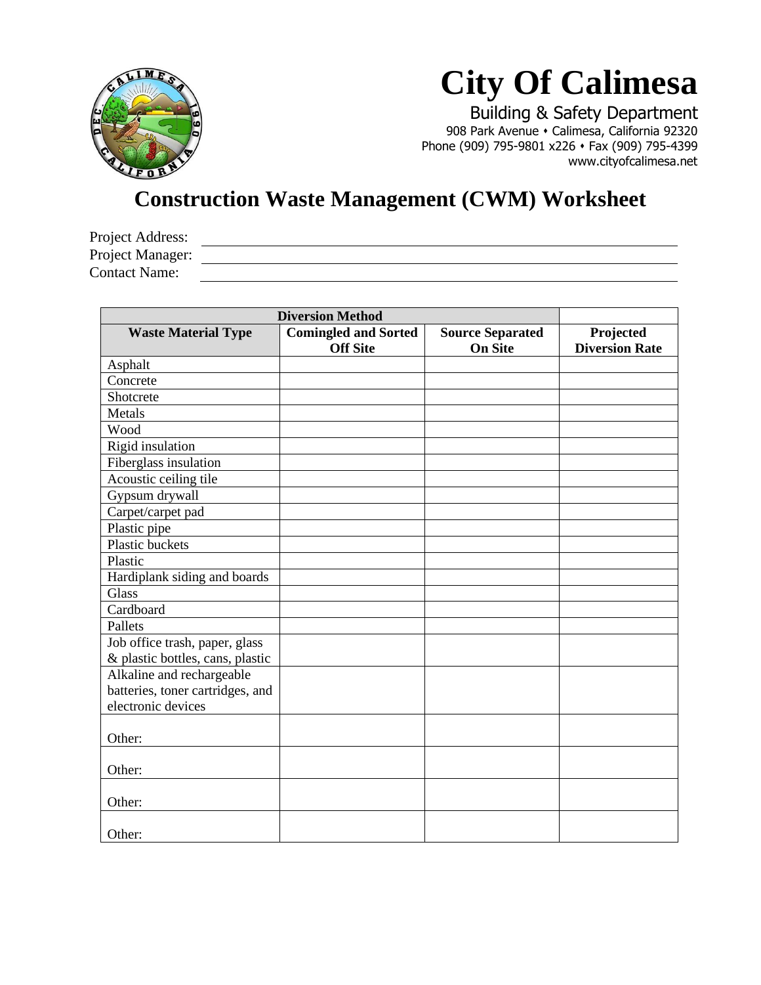

# **City Of Calimesa**

 Building & Safety Department 908 Park Avenue ⬧ Calimesa, California 92320 Phone (909) 795-9801 x226 • Fax (909) 795-4399 www.cityofcalimesa.net

### **Construction Waste Management (CWM) Worksheet**

| Project Address:     |  |
|----------------------|--|
| Project Manager:     |  |
| <b>Contact Name:</b> |  |
|                      |  |

| <b>Diversion Method</b>          |                             |                         |                       |
|----------------------------------|-----------------------------|-------------------------|-----------------------|
| <b>Waste Material Type</b>       | <b>Comingled and Sorted</b> | <b>Source Separated</b> | Projected             |
|                                  | <b>Off Site</b>             | <b>On Site</b>          | <b>Diversion Rate</b> |
| Asphalt                          |                             |                         |                       |
| Concrete                         |                             |                         |                       |
| Shotcrete                        |                             |                         |                       |
| Metals                           |                             |                         |                       |
| Wood                             |                             |                         |                       |
| Rigid insulation                 |                             |                         |                       |
| Fiberglass insulation            |                             |                         |                       |
| Acoustic ceiling tile            |                             |                         |                       |
| Gypsum drywall                   |                             |                         |                       |
| Carpet/carpet pad                |                             |                         |                       |
| Plastic pipe                     |                             |                         |                       |
| <b>Plastic buckets</b>           |                             |                         |                       |
| Plastic                          |                             |                         |                       |
| Hardiplank siding and boards     |                             |                         |                       |
| <b>Glass</b>                     |                             |                         |                       |
| Cardboard                        |                             |                         |                       |
| Pallets                          |                             |                         |                       |
| Job office trash, paper, glass   |                             |                         |                       |
| & plastic bottles, cans, plastic |                             |                         |                       |
| Alkaline and rechargeable        |                             |                         |                       |
| batteries, toner cartridges, and |                             |                         |                       |
| electronic devices               |                             |                         |                       |
|                                  |                             |                         |                       |
| Other:                           |                             |                         |                       |
|                                  |                             |                         |                       |
| Other:                           |                             |                         |                       |
|                                  |                             |                         |                       |
| Other:                           |                             |                         |                       |
|                                  |                             |                         |                       |
| Other:                           |                             |                         |                       |